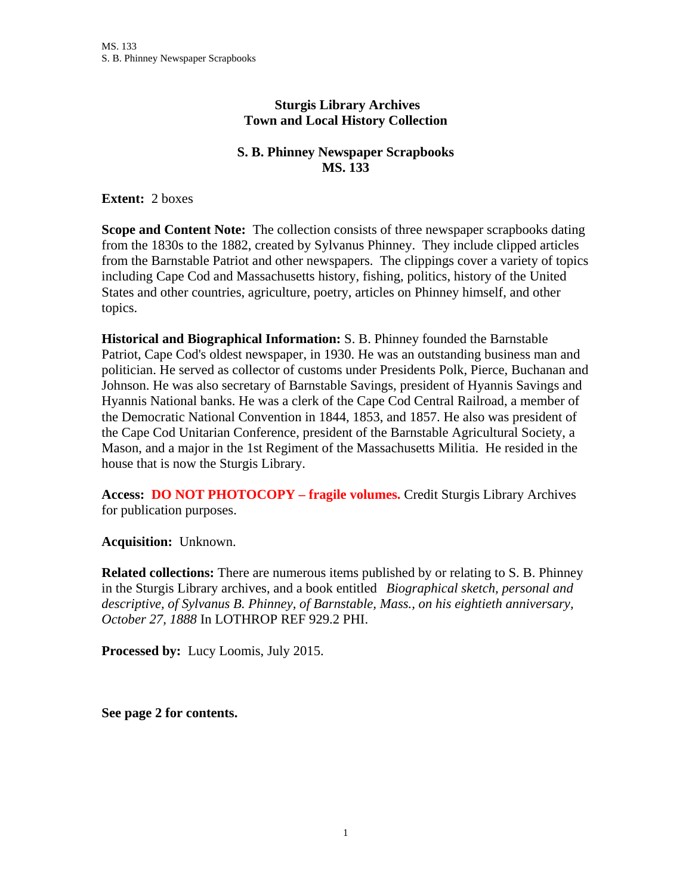## **Sturgis Library Archives Town and Local History Collection**

## **S. B. Phinney Newspaper Scrapbooks MS. 133**

**Extent:** 2 boxes

**Scope and Content Note:** The collection consists of three newspaper scrapbooks dating from the 1830s to the 1882, created by Sylvanus Phinney. They include clipped articles from the Barnstable Patriot and other newspapers. The clippings cover a variety of topics including Cape Cod and Massachusetts history, fishing, politics, history of the United States and other countries, agriculture, poetry, articles on Phinney himself, and other topics.

**Historical and Biographical Information:** S. B. Phinney founded the Barnstable Patriot, Cape Cod's oldest newspaper, in 1930. He was an outstanding business man and politician. He served as collector of customs under Presidents Polk, Pierce, Buchanan and Johnson. He was also secretary of Barnstable Savings, president of Hyannis Savings and Hyannis National banks. He was a clerk of the Cape Cod Central Railroad, a member of the Democratic National Convention in 1844, 1853, and 1857. He also was president of the Cape Cod Unitarian Conference, president of the Barnstable Agricultural Society, a Mason, and a major in the 1st Regiment of the Massachusetts Militia. He resided in the house that is now the Sturgis Library.

**Access: DO NOT PHOTOCOPY – fragile volumes.** Credit Sturgis Library Archives for publication purposes.

**Acquisition:** Unknown.

**Related collections:** There are numerous items published by or relating to S. B. Phinney in the Sturgis Library archives, and a book entitled *Biographical sketch, personal and descriptive, of Sylvanus B. Phinney, of Barnstable, Mass., on his eightieth anniversary, October 27, 1888* In LOTHROP REF 929.2 PHI.

**Processed by:** Lucy Loomis, July 2015.

**See page 2 for contents.**